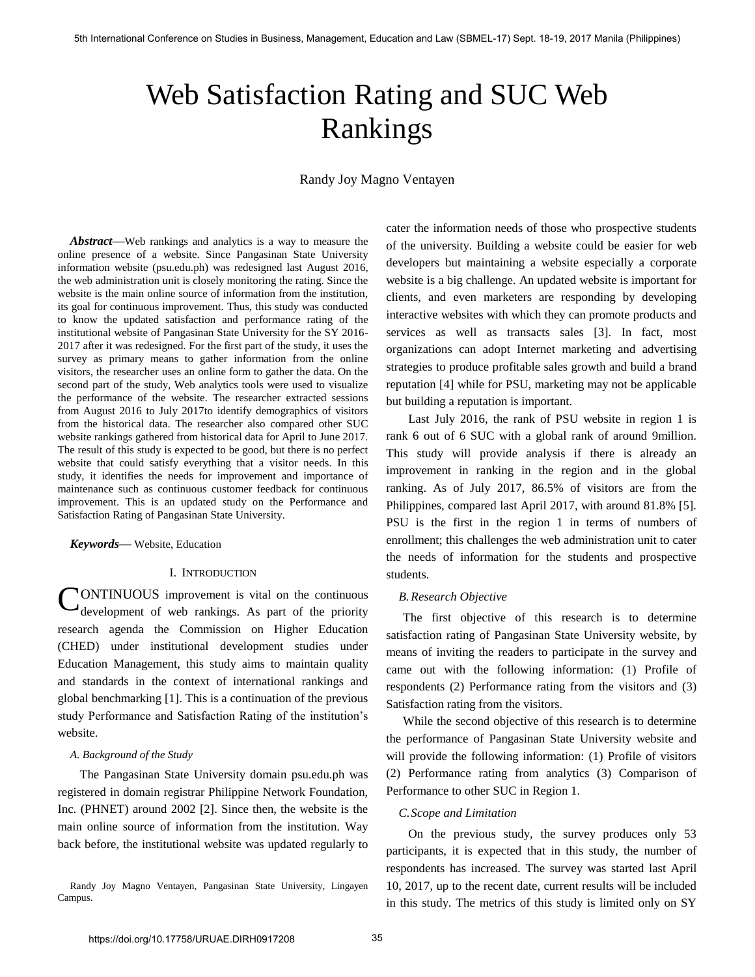# Web Satisfaction Rating and SUC Web Rankings

Randy Joy Magno Ventayen

*Abstract***—**Web rankings and analytics is a way to measure the online presence of a website. Since Pangasinan State University information website (psu.edu.ph) was redesigned last August 2016, the web administration unit is closely monitoring the rating. Since the website is the main online source of information from the institution, its goal for continuous improvement. Thus, this study was conducted to know the updated satisfaction and performance rating of the institutional website of Pangasinan State University for the SY 2016- 2017 after it was redesigned. For the first part of the study, it uses the survey as primary means to gather information from the online visitors, the researcher uses an online form to gather the data. On the second part of the study, Web analytics tools were used to visualize the performance of the website. The researcher extracted sessions from August 2016 to July 2017to identify demographics of visitors from the historical data. The researcher also compared other SUC website rankings gathered from historical data for April to June 2017. The result of this study is expected to be good, but there is no perfect website that could satisfy everything that a visitor needs. In this study, it identifies the needs for improvement and importance of maintenance such as continuous customer feedback for continuous improvement. This is an updated study on the Performance and Satisfaction Rating of Pangasinan State University.

### *Keywords***—** Website, Education

## I. INTRODUCTION

**CONTINUOUS** improvement is vital on the continuous development of web rankings. As part of the priority development of web rankings. As part of the priority research agenda the Commission on Higher Education (CHED) under institutional development studies under Education Management, this study aims to maintain quality and standards in the context of international rankings and global benchmarking [1]. This is a continuation of the previous study Performance and Satisfaction Rating of the institution's website.

## *A. Background of the Study*

The Pangasinan State University domain psu.edu.ph was registered in domain registrar Philippine Network Foundation, Inc. (PHNET) around 2002 [2]. Since then, the website is the main online source of information from the institution. Way back before, the institutional website was updated regularly to

Randy Joy Magno Ventayen, Pangasinan State University, Lingayen Campus.

cater the information needs of those who prospective students of the university. Building a website could be easier for web developers but maintaining a website especially a corporate website is a big challenge. An updated website is important for clients, and even marketers are responding by developing interactive websites with which they can promote products and services as well as transacts sales [3]. In fact, most organizations can adopt Internet marketing and advertising strategies to produce profitable sales growth and build a brand reputation [4] while for PSU, marketing may not be applicable but building a reputation is important.

Last July 2016, the rank of PSU website in region 1 is rank 6 out of 6 SUC with a global rank of around 9million. This study will provide analysis if there is already an improvement in ranking in the region and in the global ranking. As of July 2017, 86.5% of visitors are from the Philippines, compared last April 2017, with around 81.8% [5]. PSU is the first in the region 1 in terms of numbers of enrollment; this challenges the web administration unit to cater the needs of information for the students and prospective students.

## *B.Research Objective*

The first objective of this research is to determine satisfaction rating of Pangasinan State University website, by means of inviting the readers to participate in the survey and came out with the following information: (1) Profile of respondents (2) Performance rating from the visitors and (3) Satisfaction rating from the visitors.

While the second objective of this research is to determine the performance of Pangasinan State University website and will provide the following information: (1) Profile of visitors (2) Performance rating from analytics (3) Comparison of Performance to other SUC in Region 1.

## *C.Scope and Limitation*

On the previous study, the survey produces only 53 participants, it is expected that in this study, the number of respondents has increased. The survey was started last April 10, 2017, up to the recent date, current results will be included in this study. The metrics of this study is limited only on SY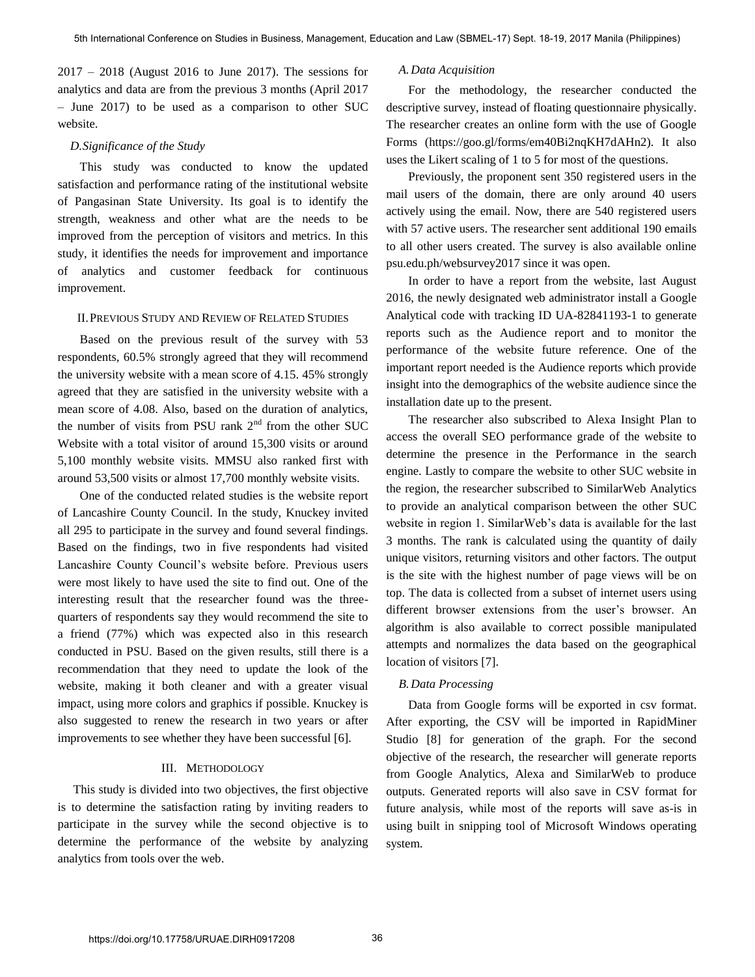2017 – 2018 (August 2016 to June 2017). The sessions for analytics and data are from the previous 3 months (April 2017 – June 2017) to be used as a comparison to other SUC website.

## *D.Significance of the Study*

This study was conducted to know the updated satisfaction and performance rating of the institutional website of Pangasinan State University. Its goal is to identify the strength, weakness and other what are the needs to be improved from the perception of visitors and metrics. In this study, it identifies the needs for improvement and importance of analytics and customer feedback for continuous improvement.

## II.PREVIOUS STUDY AND REVIEW OF RELATED STUDIES

Based on the previous result of the survey with 53 respondents, 60.5% strongly agreed that they will recommend the university website with a mean score of 4.15. 45% strongly agreed that they are satisfied in the university website with a mean score of 4.08. Also, based on the duration of analytics, the number of visits from PSU rank  $2<sup>nd</sup>$  from the other SUC Website with a total visitor of around 15,300 visits or around 5,100 monthly website visits. MMSU also ranked first with around 53,500 visits or almost 17,700 monthly website visits.

One of the conducted related studies is the website report of Lancashire County Council. In the study, Knuckey invited all 295 to participate in the survey and found several findings. Based on the findings, two in five respondents had visited Lancashire County Council's website before. Previous users were most likely to have used the site to find out. One of the interesting result that the researcher found was the threequarters of respondents say they would recommend the site to a friend (77%) which was expected also in this research conducted in PSU. Based on the given results, still there is a recommendation that they need to update the look of the website, making it both cleaner and with a greater visual impact, using more colors and graphics if possible. Knuckey is also suggested to renew the research in two years or after improvements to see whether they have been successful [6].

## III. METHODOLOGY

 This study is divided into two objectives, the first objective is to determine the satisfaction rating by inviting readers to participate in the survey while the second objective is to determine the performance of the website by analyzing analytics from tools over the web.

## *A.Data Acquisition*

For the methodology, the researcher conducted the descriptive survey, instead of floating questionnaire physically. The researcher creates an online form with the use of Google Forms (https://goo.gl/forms/em40Bi2nqKH7dAHn2). It also uses the Likert scaling of 1 to 5 for most of the questions.

Previously, the proponent sent 350 registered users in the mail users of the domain, there are only around 40 users actively using the email. Now, there are 540 registered users with 57 active users. The researcher sent additional 190 emails to all other users created. The survey is also available online psu.edu.ph/websurvey2017 since it was open.

In order to have a report from the website, last August 2016, the newly designated web administrator install a Google Analytical code with tracking ID UA-82841193-1 to generate reports such as the Audience report and to monitor the performance of the website future reference. One of the important report needed is the Audience reports which provide insight into the demographics of the website audience since the installation date up to the present.

The researcher also subscribed to Alexa Insight Plan to access the overall SEO performance grade of the website to determine the presence in the Performance in the search engine. Lastly to compare the website to other SUC website in the region, the researcher subscribed to SimilarWeb Analytics to provide an analytical comparison between the other SUC website in region 1. SimilarWeb's data is available for the last 3 months. The rank is calculated using the quantity of daily unique visitors, returning visitors and other factors. The output is the site with the highest number of page views will be on top. The data is collected from a subset of internet users using different browser extensions from the user's browser. An algorithm is also available to correct possible manipulated attempts and normalizes the data based on the geographical location of visitors [7].

## *B.Data Processing*

Data from Google forms will be exported in csv format. After exporting, the CSV will be imported in RapidMiner Studio [8] for generation of the graph. For the second objective of the research, the researcher will generate reports from Google Analytics, Alexa and SimilarWeb to produce outputs. Generated reports will also save in CSV format for future analysis, while most of the reports will save as-is in using built in snipping tool of Microsoft Windows operating system.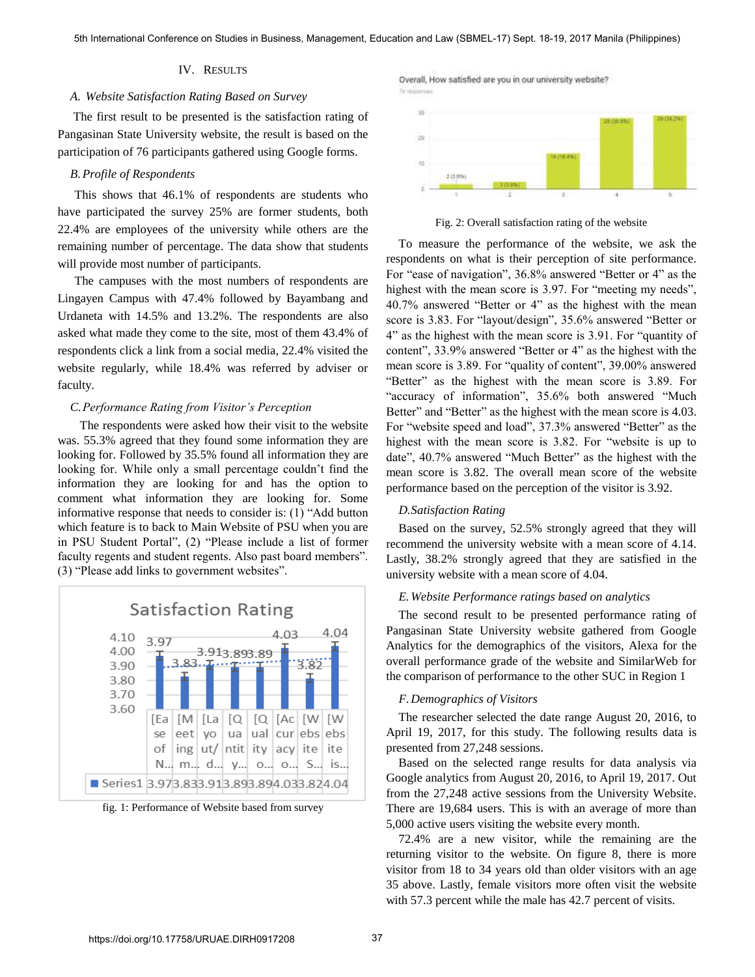## IV. RESULTS

#### *A. Website Satisfaction Rating Based on Survey*

 The first result to be presented is the satisfaction rating of Pangasinan State University website, the result is based on the participation of 76 participants gathered using Google forms.

## *B.Profile of Respondents*

This shows that 46.1% of respondents are students who have participated the survey 25% are former students, both 22.4% are employees of the university while others are the remaining number of percentage. The data show that students will provide most number of participants.

The campuses with the most numbers of respondents are Lingayen Campus with 47.4% followed by Bayambang and Urdaneta with 14.5% and 13.2%. The respondents are also asked what made they come to the site, most of them 43.4% of respondents click a link from a social media, 22.4% visited the website regularly, while 18.4% was referred by adviser or faculty.

## *C.Performance Rating from Visitor's Perception*

The respondents were asked how their visit to the website was. 55.3% agreed that they found some information they are looking for. Followed by 35.5% found all information they are looking for. While only a small percentage couldn't find the information they are looking for and has the option to comment what information they are looking for. Some informative response that needs to consider is: (1) "Add button which feature is to back to Main Website of PSU when you are in PSU Student Portal", (2) "Please include a list of former faculty regents and student regents. Also past board members". (3) "Please add links to government websites".



fig. 1: Performance of Website based from survey

Overall, How satisfied are you in our university website?



Fig. 2: Overall satisfaction rating of the website

To measure the performance of the website, we ask the respondents on what is their perception of site performance. For "ease of navigation", 36.8% answered "Better or 4" as the highest with the mean score is 3.97. For "meeting my needs", 40.7% answered "Better or 4" as the highest with the mean score is 3.83. For "layout/design", 35.6% answered "Better or 4" as the highest with the mean score is 3.91. For "quantity of content", 33.9% answered "Better or 4" as the highest with the mean score is 3.89. For "quality of content", 39.00% answered "Better" as the highest with the mean score is 3.89. For "accuracy of information", 35.6% both answered "Much Better" and "Better" as the highest with the mean score is 4.03. For "website speed and load", 37.3% answered "Better" as the highest with the mean score is 3.82. For "website is up to date", 40.7% answered "Much Better" as the highest with the mean score is 3.82. The overall mean score of the website performance based on the perception of the visitor is 3.92.

#### *D.Satisfaction Rating*

Based on the survey, 52.5% strongly agreed that they will recommend the university website with a mean score of 4.14. Lastly, 38.2% strongly agreed that they are satisfied in the university website with a mean score of 4.04.

#### *E.Website Performance ratings based on analytics*

The second result to be presented performance rating of Pangasinan State University website gathered from Google Analytics for the demographics of the visitors, Alexa for the overall performance grade of the website and SimilarWeb for the comparison of performance to the other SUC in Region 1

### *F.Demographics of Visitors*

The researcher selected the date range August 20, 2016, to April 19, 2017, for this study. The following results data is presented from 27,248 sessions.

Based on the selected range results for data analysis via Google analytics from August 20, 2016, to April 19, 2017. Out from the 27,248 active sessions from the University Website. There are 19,684 users. This is with an average of more than 5,000 active users visiting the website every month.

72.4% are a new visitor, while the remaining are the returning visitor to the website. On figure 8, there is more visitor from 18 to 34 years old than older visitors with an age 35 above. Lastly, female visitors more often visit the website with 57.3 percent while the male has 42.7 percent of visits.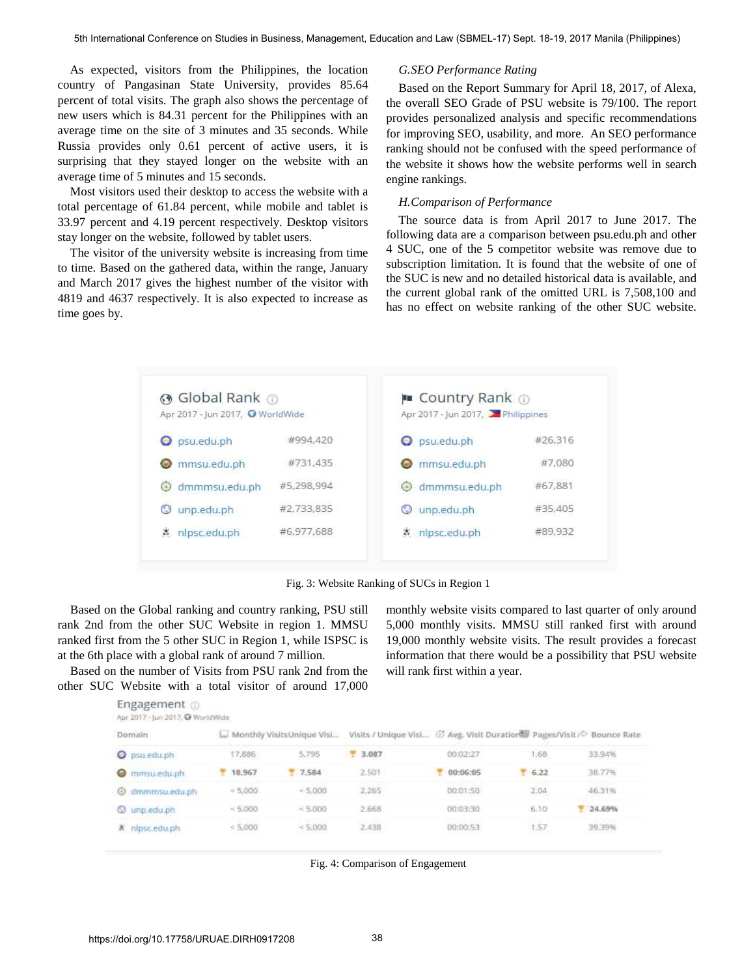As expected, visitors from the Philippines, the location country of Pangasinan State University, provides 85.64 percent of total visits. The graph also shows the percentage of new users which is 84.31 percent for the Philippines with an average time on the site of 3 minutes and 35 seconds. While Russia provides only 0.61 percent of active users, it is surprising that they stayed longer on the website with an average time of 5 minutes and 15 seconds.

Most visitors used their desktop to access the website with a total percentage of 61.84 percent, while mobile and tablet is 33.97 percent and 4.19 percent respectively. Desktop visitors stay longer on the website, followed by tablet users.

The visitor of the university website is increasing from time to time. Based on the gathered data, within the range, January and March 2017 gives the highest number of the visitor with 4819 and 4637 respectively. It is also expected to increase as time goes by.

#### *G.SEO Performance Rating*

Based on the Report Summary for April 18, 2017, of Alexa, the overall SEO Grade of PSU website is 79/100. The report provides personalized analysis and specific recommendations for improving SEO, usability, and more. An SEO performance ranking should not be confused with the speed performance of the website it shows how the website performs well in search engine rankings.

## *H.Comparison of Performance*

The source data is from April 2017 to June 2017. The following data are a comparison between psu.edu.ph and other 4 SUC, one of the 5 competitor website was remove due to subscription limitation. It is found that the website of one of the SUC is new and no detailed historical data is available, and the current global rank of the omitted URL is 7,508,100 and has no effect on website ranking of the other SUC website.



Fig. 3: Website Ranking of SUCs in Region 1

Based on the Global ranking and country ranking, PSU still rank 2nd from the other SUC Website in region 1. MMSU ranked first from the 5 other SUC in Region 1, while ISPSC is at the 6th place with a global rank of around 7 million.

Based on the number of Visits from PSU rank 2nd from the other SUC Website with a total visitor of around 17,000 monthly website visits compared to last quarter of only around 5,000 monthly visits. MMSU still ranked first with around 19,000 monthly website visits. The result provides a forecast information that there would be a possibility that PSU website will rank first within a year.

| Domain                 |         | Monthly VisitsUnique Visi |                   | Visits / Unique Visi ( Avg. Visit Duration Pages/Visit / Bounce Rate |   |       |                    |
|------------------------|---------|---------------------------|-------------------|----------------------------------------------------------------------|---|-------|--------------------|
| psu.edu.ph             | 17,886  | 5,795                     | 3.087             | 00:02:27                                                             |   | 1:58  | 33,94%             |
| mmsu.edu.ph<br>$\circ$ | 18,967  | 7,584                     | 2.501             | 00:06:05                                                             | ۳ | 6.22  | 38.77%             |
| @ dmmmsu.edu.ph        | 45,000  | $= 5.000$                 | 2.265<br>39 M M M | 00:01:50                                                             |   | 2.04  | 46.31%             |
| <b>C</b> unpledu.ph    | < 5,000 | $= 5.000$                 | 2,668             | 00:03:30                                                             |   | 6.10. | 24,69%             |
| 高 nipsc.edu.ph         | 5,000   | < 5.000                   | 2.438             | 00:00:53                                                             |   | 1.57  | 39.39%<br>-2019-00 |